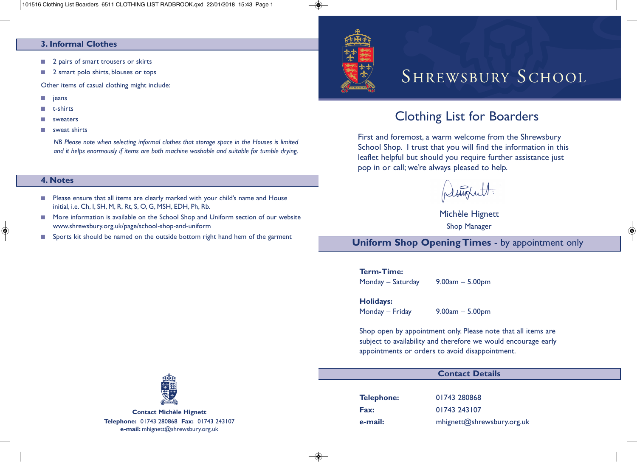#### **3. Informal Clothes**

- 2 pairs of smart trousers or skirts
- 2 smart polo shirts, blouses or tops

Other items of casual clothing might include:

- **■** jeans
- **■** t-shirts
- **■** sweaters
- **■** sweat shirts

*NB Please note when selecting informal clothes that storage space in the Houses is limited and it helps enormously if items are both machine washable and suitable for tumble drying.*

#### **4. Notes**

- Please ensure that all items are clearly marked with your child's name and House initial, i.e. Ch, I, SH, M, R, Rt, S, O, G, MSH, EDH, Ph, Rb.
- More information is available on the School Shop and Uniform section of our website www.shrewsbury.org.uk/page/school-shop-and-uniform
- Sports kit should be named on the outside bottom right hand hem of the garment



# SHREWSBURY SCHOOL

## Clothing List for Boarders

First and foremost, a warm welcome from the Shrewsbury School Shop. I trust that you will find the information in this leaflet helpful but should you require further assistance just pop in or call; we're always pleased to help.

plesiont.

Michèle Hignett Shop Manager

**Uniform Shop Opening Times** - by appointment only

#### **Term-Time:**

Monday – Saturday 9.00am – 5.00pm

#### **Holidays:**

Monday – Friday 9.00am – 5.00pm

Shop open by appointment only. Please note that all items are subject to availability and therefore we would encourage early appointments or orders to avoid disappointment.

#### **Contact Details**

**Telephone:** 01743 280868 **Fax:** 01743 243107

**e-mail:** mhignett@shrewsbury.org.uk



**Contact Michèle Hignett Telephone:** 01743 280868 **Fax:** 01743 243107 **e-mail:** mhignett@shrewsbury.org.uk